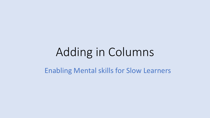# Adding in Columns Enabling Mental skills for Slow Learners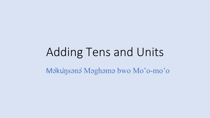## Adding Tens and Units Makunsana Maghama bwo Mo'o-mo'o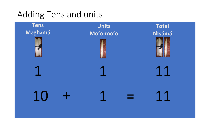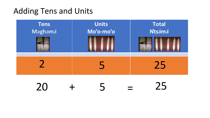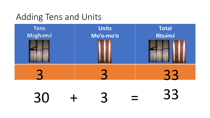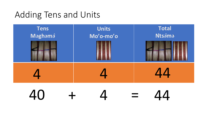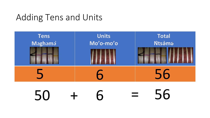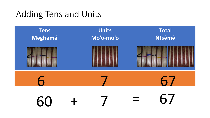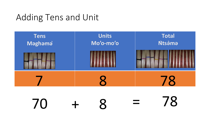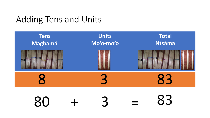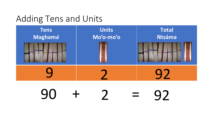

90 92  $\frac{1}{2}$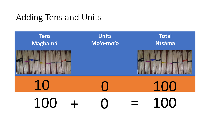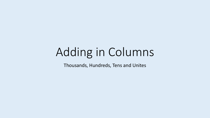### Adding in Columns

Thousands, Hundreds, Tens and Unites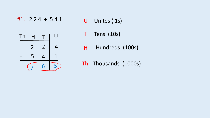#1. 2 2 4 + 5 4 1

#### U Unites ( 1s)

 $2 | 2 | 4$  $+$  5 4 1 Th  $H$   $T$  U  $6 \mid 5$ 

- T Tens (10s)
- H Hundreds (100s)
- Th Thousands (1000s)